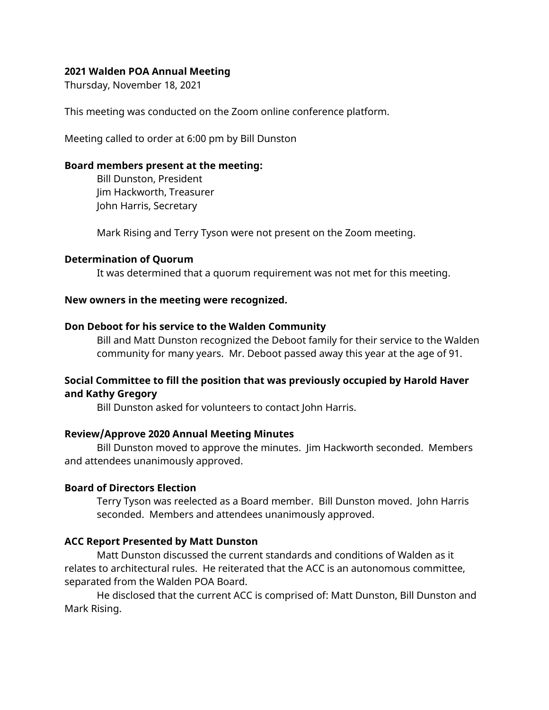### **2021 Walden POA Annual Meeting**

Thursday, November 18, 2021

This meeting was conducted on the Zoom online conference platform.

Meeting called to order at 6:00 pm by Bill Dunston

### **Board members present at the meeting:**

Bill Dunston, President Jim Hackworth, Treasurer John Harris, Secretary

Mark Rising and Terry Tyson were not present on the Zoom meeting.

#### **Determination of Quorum**

It was determined that a quorum requirement was not met for this meeting.

#### **New owners in the meeting were recognized.**

#### **Don Deboot for his service to the Walden Community**

Bill and Matt Dunston recognized the Deboot family for their service to the Walden community for many years. Mr. Deboot passed away this year at the age of 91.

## **Social Committee to fill the position that was previously occupied by Harold Haver and Kathy Gregory**

Bill Dunston asked for volunteers to contact John Harris.

### **Review/Approve 2020 Annual Meeting Minutes**

Bill Dunston moved to approve the minutes. Jim Hackworth seconded. Members and attendees unanimously approved.

#### **Board of Directors Election**

Terry Tyson was reelected as a Board member. Bill Dunston moved. John Harris seconded. Members and attendees unanimously approved.

### **ACC Report Presented by Matt Dunston**

Matt Dunston discussed the current standards and conditions of Walden as it relates to architectural rules. He reiterated that the ACC is an autonomous committee, separated from the Walden POA Board.

He disclosed that the current ACC is comprised of: Matt Dunston, Bill Dunston and Mark Rising.